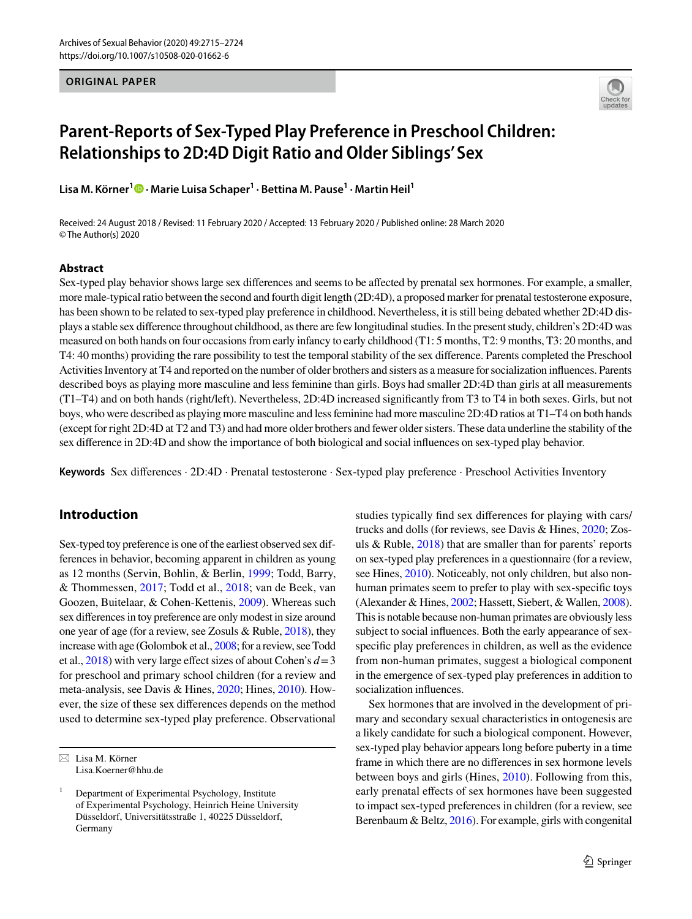#### **ORIGINAL PAPER**



# **Parent‑Reports of Sex‑Typed Play Preference in Preschool Children: Relationships to 2D:4D Digit Ratio and Older Siblings' Sex**

**Lisa M. Körner<sup>1</sup>  [·](http://orcid.org/0000-0003-1899-398X) Marie Luisa Schaper1 · Bettina M. Pause1 · Martin Heil1**

Received: 24 August 2018 / Revised: 11 February 2020 / Accepted: 13 February 2020 / Published online: 28 March 2020 © The Author(s) 2020

#### **Abstract**

Sex-typed play behavior shows large sex diferences and seems to be afected by prenatal sex hormones. For example, a smaller, more male-typical ratio between the second and fourth digit length (2D:4D), a proposed marker for prenatal testosterone exposure, has been shown to be related to sex-typed play preference in childhood. Nevertheless, it is still being debated whether 2D:4D displays a stable sex diference throughout childhood, as there are few longitudinal studies. In the present study, children's 2D:4D was measured on both hands on four occasions from early infancy to early childhood (T1: 5 months, T2: 9 months, T3: 20 months, and T4: 40 months) providing the rare possibility to test the temporal stability of the sex diference. Parents completed the Preschool Activities Inventory at T4 and reported on the number of older brothers and sisters as a measure for socialization infuences. Parents described boys as playing more masculine and less feminine than girls. Boys had smaller 2D:4D than girls at all measurements (T1–T4) and on both hands (right/left). Nevertheless, 2D:4D increased signifcantly from T3 to T4 in both sexes. Girls, but not boys, who were described as playing more masculine and less feminine had more masculine 2D:4D ratios at T1–T4 on both hands (except for right 2D:4D at T2 and T3) and had more older brothers and fewer older sisters. These data underline the stability of the sex diference in 2D:4D and show the importance of both biological and social infuences on sex-typed play behavior.

**Keywords** Sex diferences · 2D:4D · Prenatal testosterone · Sex-typed play preference · Preschool Activities Inventory

## **Introduction**

Sex-typed toy preference is one of the earliest observed sex differences in behavior, becoming apparent in children as young as 12 months (Servin, Bohlin, & Berlin, [1999](#page-9-0); Todd, Barry, & Thommessen, [2017;](#page-9-1) Todd et al., [2018;](#page-9-2) van de Beek, van Goozen, Buitelaar, & Cohen-Kettenis, [2009\)](#page-9-3). Whereas such sex diferences in toy preference are only modest in size around one year of age (for a review, see Zosuls & Ruble, [2018\)](#page-9-4), they increase with age (Golombok et al., [2008;](#page-8-0) for a review, see Todd et al., [2018](#page-9-2)) with very large efect sizes of about Cohen's *d*=3 for preschool and primary school children (for a review and meta-analysis, see Davis & Hines, [2020;](#page-8-1) Hines, [2010\)](#page-8-2). However, the size of these sex diferences depends on the method used to determine sex-typed play preference. Observational studies typically fnd sex diferences for playing with cars/ trucks and dolls (for reviews, see Davis & Hines, [2020;](#page-8-1) Zosuls  $\&$  Ruble,  $2018$ ) that are smaller than for parents' reports on sex-typed play preferences in a questionnaire (for a review, see Hines, [2010](#page-8-2)). Noticeably, not only children, but also nonhuman primates seem to prefer to play with sex-specifc toys (Alexander & Hines, [2002;](#page-7-0) Hassett, Siebert, & Wallen, [2008\)](#page-8-3). This is notable because non-human primates are obviously less subject to social infuences. Both the early appearance of sexspecifc play preferences in children, as well as the evidence from non-human primates, suggest a biological component in the emergence of sex-typed play preferences in addition to socialization infuences.

Sex hormones that are involved in the development of primary and secondary sexual characteristics in ontogenesis are a likely candidate for such a biological component. However, sex-typed play behavior appears long before puberty in a time frame in which there are no diferences in sex hormone levels between boys and girls (Hines, [2010\)](#page-8-2). Following from this, early prenatal effects of sex hormones have been suggested to impact sex-typed preferences in children (for a review, see Berenbaum  $& Beltz, 2016$  $& Beltz, 2016$ . For example, girls with congenital

 $\boxtimes$  Lisa M. Körner Lisa.Koerner@hhu.de

 $1$  Department of Experimental Psychology, Institute of Experimental Psychology, Heinrich Heine University Düsseldorf, Universitätsstraße 1, 40225 Düsseldorf, Germany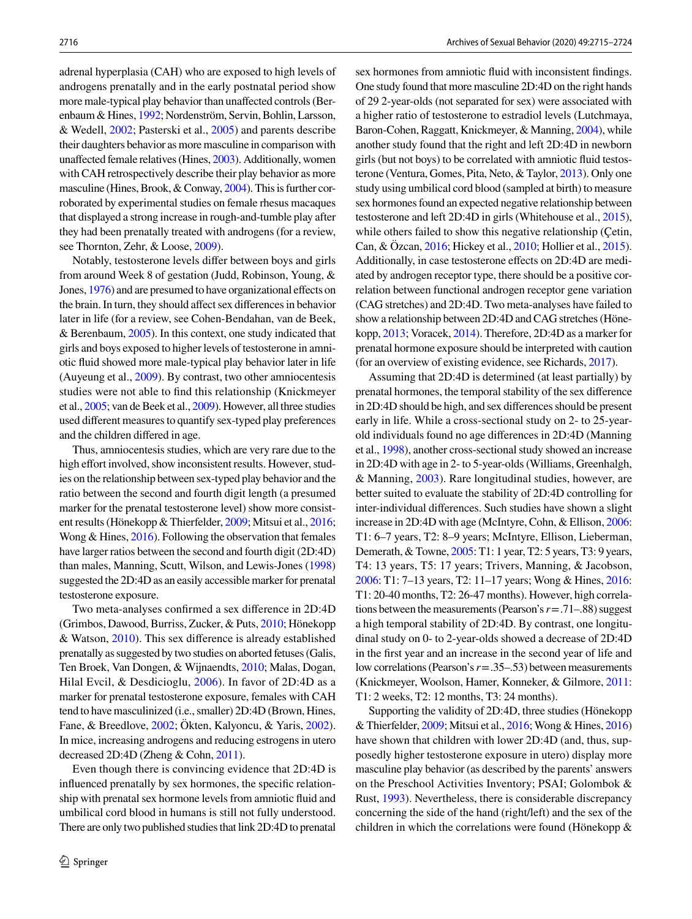adrenal hyperplasia (CAH) who are exposed to high levels of androgens prenatally and in the early postnatal period show more male-typical play behavior than unafected controls (Berenbaum & Hines, [1992](#page-8-5); Nordenström, Servin, Bohlin, Larsson, & Wedell, [2002](#page-9-5); Pasterski et al., [2005\)](#page-9-6) and parents describe their daughters behavior as more masculine in comparison with unafected female relatives (Hines, [2003](#page-8-6)). Additionally, women with CAH retrospectively describe their play behavior as more masculine (Hines, Brook, & Conway, [2004](#page-8-7)). This is further corroborated by experimental studies on female rhesus macaques that displayed a strong increase in rough-and-tumble play after they had been prenatally treated with androgens (for a review, see Thornton, Zehr, & Loose, [2009\)](#page-9-7).

Notably, testosterone levels difer between boys and girls from around Week 8 of gestation (Judd, Robinson, Young, & Jones, [1976](#page-8-8)) and are presumed to have organizational effects on the brain. In turn, they should afect sex diferences in behavior later in life (for a review, see Cohen-Bendahan, van de Beek, & Berenbaum, [2005](#page-8-9)). In this context, one study indicated that girls and boys exposed to higher levels of testosterone in amniotic fuid showed more male-typical play behavior later in life (Auyeung et al., [2009\)](#page-8-10). By contrast, two other amniocentesis studies were not able to fnd this relationship (Knickmeyer et al., [2005;](#page-8-11) van de Beek et al., [2009\)](#page-9-3). However, all three studies used diferent measures to quantify sex-typed play preferences and the children difered in age.

Thus, amniocentesis studies, which are very rare due to the high effort involved, show inconsistent results. However, studies on the relationship between sex-typed play behavior and the ratio between the second and fourth digit length (a presumed marker for the prenatal testosterone level) show more consistent results (Hönekopp & Thierfelder, [2009](#page-8-12); Mitsui et al., [2016](#page-9-8); Wong & Hines, [2016](#page-9-9)). Following the observation that females have larger ratios between the second and fourth digit (2D:4D) than males, Manning, Scutt, Wilson, and Lewis-Jones [\(1998\)](#page-9-10) suggested the 2D:4D as an easily accessible marker for prenatal testosterone exposure.

Two meta-analyses confrmed a sex diference in 2D:4D (Grimbos, Dawood, Burriss, Zucker, & Puts, [2010;](#page-8-13) Hönekopp & Watson, [2010](#page-8-14)). This sex diference is already established prenatally as suggested by two studies on aborted fetuses (Galis, Ten Broek, Van Dongen, & Wijnaendts, [2010](#page-8-15); Malas, Dogan, Hilal Evcil, & Desdicioglu, [2006\)](#page-9-11). In favor of 2D:4D as a marker for prenatal testosterone exposure, females with CAH tend to have masculinized (i.e., smaller) 2D:4D (Brown, Hines, Fane, & Breedlove, [2002](#page-8-16); Ökten, Kalyoncu, & Yaris, [2002](#page-9-12)). In mice, increasing androgens and reducing estrogens in utero decreased 2D:4D (Zheng & Cohn, [2011\)](#page-9-13).

Even though there is convincing evidence that 2D:4D is infuenced prenatally by sex hormones, the specifc relationship with prenatal sex hormone levels from amniotic fuid and umbilical cord blood in humans is still not fully understood. There are only two published studies that link 2D:4D to prenatal sex hormones from amniotic fuid with inconsistent fndings. One study found that more masculine 2D:4D on the right hands of 29 2-year-olds (not separated for sex) were associated with a higher ratio of testosterone to estradiol levels (Lutchmaya, Baron-Cohen, Raggatt, Knickmeyer, & Manning, [2004](#page-9-14)), while another study found that the right and left 2D:4D in newborn girls (but not boys) to be correlated with amniotic fuid testosterone (Ventura, Gomes, Pita, Neto, & Taylor, [2013\)](#page-9-15). Only one study using umbilical cord blood (sampled at birth) to measure sex hormones found an expected negative relationship between testosterone and left 2D:4D in girls (Whitehouse et al., [2015\)](#page-9-16), while others failed to show this negative relationship (Cetin, Can, & Özcan, [2016](#page-8-17); Hickey et al., [2010;](#page-8-18) Hollier et al., [2015\)](#page-8-19). Additionally, in case testosterone effects on 2D:4D are mediated by androgen receptor type, there should be a positive correlation between functional androgen receptor gene variation (CAG stretches) and 2D:4D. Two meta-analyses have failed to show a relationship between 2D:4D and CAG stretches (Hönekopp, [2013](#page-8-20); Voracek, [2014\)](#page-9-17). Therefore, 2D:4D as a marker for prenatal hormone exposure should be interpreted with caution (for an overview of existing evidence, see Richards, [2017\)](#page-9-18).

Assuming that 2D:4D is determined (at least partially) by prenatal hormones, the temporal stability of the sex diference in 2D:4D should be high, and sex diferences should be present early in life. While a cross-sectional study on 2- to 25-yearold individuals found no age diferences in 2D:4D (Manning et al., [1998](#page-9-10)), another cross-sectional study showed an increase in 2D:4D with age in 2- to 5-year-olds (Williams, Greenhalgh, & Manning, [2003](#page-9-19)). Rare longitudinal studies, however, are better suited to evaluate the stability of 2D:4D controlling for inter-individual diferences. Such studies have shown a slight increase in 2D:4D with age (McIntyre, Cohn, & Ellison, [2006](#page-9-20): T1: 6–7 years, T2: 8–9 years; McIntyre, Ellison, Lieberman, Demerath, & Towne, [2005:](#page-9-21) T1: 1 year, T2: 5 years, T3: 9 years, T4: 13 years, T5: 17 years; Trivers, Manning, & Jacobson, [2006:](#page-9-22) T1: 7–13 years, T2: 11–17 years; Wong & Hines, [2016](#page-9-9): T1: 20-40 months, T2: 26-47 months). However, high correlations between the measurements (Pearson's *r*=.71–.88) suggest a high temporal stability of 2D:4D. By contrast, one longitudinal study on 0- to 2-year-olds showed a decrease of 2D:4D in the frst year and an increase in the second year of life and low correlations (Pearson's *r*=.35–.53) between measurements (Knickmeyer, Woolson, Hamer, Konneker, & Gilmore, [2011](#page-8-21): T1: 2 weeks, T2: 12 months, T3: 24 months).

Supporting the validity of 2D:4D, three studies (Hönekopp & Thierfelder, [2009](#page-8-12); Mitsui et al., [2016;](#page-9-8) Wong & Hines, [2016\)](#page-9-9) have shown that children with lower 2D:4D (and, thus, supposedly higher testosterone exposure in utero) display more masculine play behavior (as described by the parents' answers on the Preschool Activities Inventory; PSAI; Golombok & Rust, [1993\)](#page-8-22). Nevertheless, there is considerable discrepancy concerning the side of the hand (right/left) and the sex of the children in which the correlations were found (Hönekopp &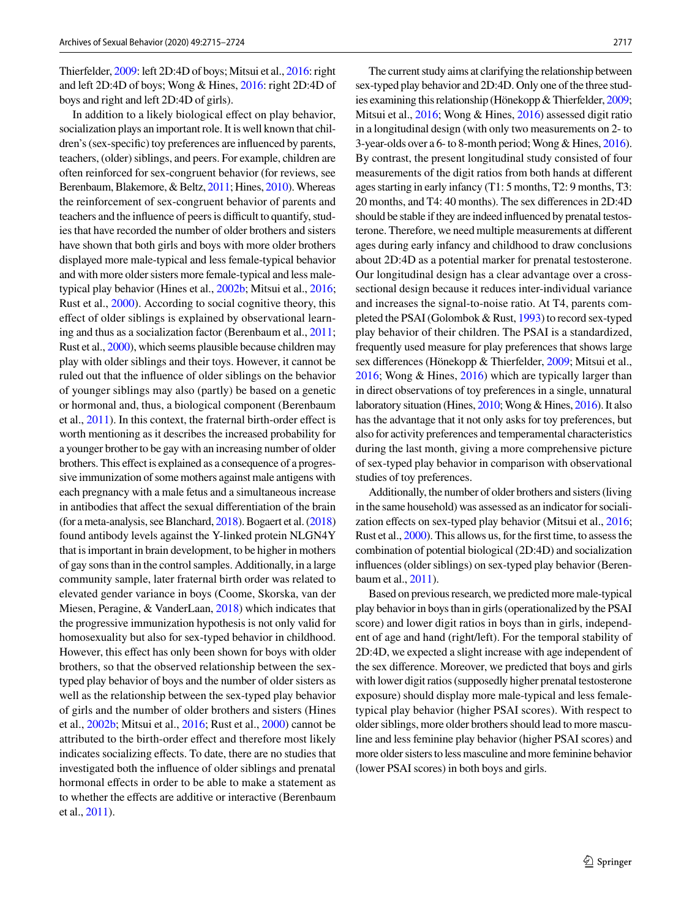Thierfelder, [2009:](#page-8-12) left 2D:4D of boys; Mitsui et al., [2016](#page-9-8): right and left 2D:4D of boys; Wong & Hines, [2016:](#page-9-9) right 2D:4D of boys and right and left 2D:4D of girls).

In addition to a likely biological efect on play behavior, socialization plays an important role. It is well known that children's (sex-specifc) toy preferences are infuenced by parents, teachers, (older) siblings, and peers. For example, children are often reinforced for sex-congruent behavior (for reviews, see Berenbaum, Blakemore, & Beltz, [2011](#page-8-23); Hines, [2010](#page-8-2)). Whereas the reinforcement of sex-congruent behavior of parents and teachers and the influence of peers is difficult to quantify, studies that have recorded the number of older brothers and sisters have shown that both girls and boys with more older brothers displayed more male-typical and less female-typical behavior and with more older sisters more female-typical and less maletypical play behavior (Hines et al., [2002b;](#page-8-24) Mitsui et al., [2016](#page-9-8); Rust et al., [2000\)](#page-9-23). According to social cognitive theory, this efect of older siblings is explained by observational learning and thus as a socialization factor (Berenbaum et al., [2011](#page-8-23); Rust et al., [2000\)](#page-9-23), which seems plausible because children may play with older siblings and their toys. However, it cannot be ruled out that the infuence of older siblings on the behavior of younger siblings may also (partly) be based on a genetic or hormonal and, thus, a biological component (Berenbaum et al., [2011](#page-8-23)). In this context, the fraternal birth-order efect is worth mentioning as it describes the increased probability for a younger brother to be gay with an increasing number of older brothers. This efect is explained as a consequence of a progressive immunization of some mothers against male antigens with each pregnancy with a male fetus and a simultaneous increase in antibodies that afect the sexual diferentiation of the brain (for a meta-analysis, see Blanchard, [2018](#page-8-25)). Bogaert et al. ([2018\)](#page-8-26) found antibody levels against the Y-linked protein NLGN4Y that is important in brain development, to be higher in mothers of gay sons than in the control samples. Additionally, in a large community sample, later fraternal birth order was related to elevated gender variance in boys (Coome, Skorska, van der Miesen, Peragine, & VanderLaan, [2018\)](#page-8-27) which indicates that the progressive immunization hypothesis is not only valid for homosexuality but also for sex-typed behavior in childhood. However, this effect has only been shown for boys with older brothers, so that the observed relationship between the sextyped play behavior of boys and the number of older sisters as well as the relationship between the sex-typed play behavior of girls and the number of older brothers and sisters (Hines et al., [2002b;](#page-8-24) Mitsui et al., [2016;](#page-9-8) Rust et al., [2000](#page-9-23)) cannot be attributed to the birth-order efect and therefore most likely indicates socializing efects. To date, there are no studies that investigated both the infuence of older siblings and prenatal hormonal effects in order to be able to make a statement as to whether the efects are additive or interactive (Berenbaum et al., [2011](#page-8-23)).

The current study aims at clarifying the relationship between sex-typed play behavior and 2D:4D. Only one of the three studies examining this relationship (Hönekopp & Thierfelder, [2009](#page-8-12); Mitsui et al., [2016](#page-9-8); Wong & Hines, [2016\)](#page-9-9) assessed digit ratio in a longitudinal design (with only two measurements on 2- to 3-year-olds over a 6- to 8-month period; Wong & Hines, [2016\)](#page-9-9). By contrast, the present longitudinal study consisted of four measurements of the digit ratios from both hands at diferent ages starting in early infancy (T1: 5 months, T2: 9 months, T3: 20 months, and T4: 40 months). The sex diferences in 2D:4D should be stable if they are indeed infuenced by prenatal testosterone. Therefore, we need multiple measurements at diferent ages during early infancy and childhood to draw conclusions about 2D:4D as a potential marker for prenatal testosterone. Our longitudinal design has a clear advantage over a crosssectional design because it reduces inter-individual variance and increases the signal-to-noise ratio. At T4, parents completed the PSAI (Golombok & Rust, [1993\)](#page-8-22) to record sex-typed play behavior of their children. The PSAI is a standardized, frequently used measure for play preferences that shows large sex diferences (Hönekopp & Thierfelder, [2009](#page-8-12); Mitsui et al., [2016](#page-9-8); Wong & Hines, [2016](#page-9-9)) which are typically larger than in direct observations of toy preferences in a single, unnatural laboratory situation (Hines, [2010](#page-8-2); Wong & Hines, [2016](#page-9-9)). It also has the advantage that it not only asks for toy preferences, but also for activity preferences and temperamental characteristics during the last month, giving a more comprehensive picture of sex-typed play behavior in comparison with observational studies of toy preferences.

Additionally, the number of older brothers and sisters (living in the same household) was assessed as an indicator for sociali-zation effects on sex-typed play behavior (Mitsui et al., [2016](#page-9-8); Rust et al., [2000](#page-9-23)). This allows us, for the frst time, to assess the combination of potential biological (2D:4D) and socialization infuences (older siblings) on sex-typed play behavior (Berenbaum et al., [2011](#page-8-23)).

Based on previous research, we predicted more male-typical play behavior in boys than in girls (operationalized by the PSAI score) and lower digit ratios in boys than in girls, independent of age and hand (right/left). For the temporal stability of 2D:4D, we expected a slight increase with age independent of the sex diference. Moreover, we predicted that boys and girls with lower digit ratios (supposedly higher prenatal testosterone exposure) should display more male-typical and less femaletypical play behavior (higher PSAI scores). With respect to older siblings, more older brothers should lead to more masculine and less feminine play behavior (higher PSAI scores) and more older sisters to less masculine and more feminine behavior (lower PSAI scores) in both boys and girls.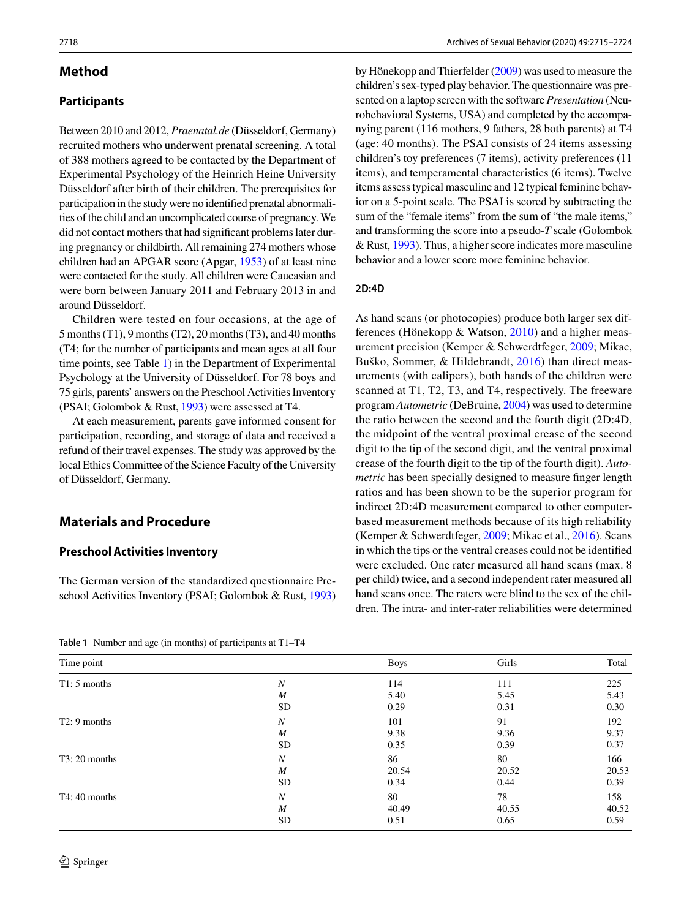## **Method**

### **Participants**

Between 2010 and 2012, *Praenatal.de* (Düsseldorf, Germany) recruited mothers who underwent prenatal screening. A total of 388 mothers agreed to be contacted by the Department of Experimental Psychology of the Heinrich Heine University Düsseldorf after birth of their children. The prerequisites for participation in the study were no identifed prenatal abnormalities of the child and an uncomplicated course of pregnancy. We did not contact mothers that had signifcant problems later during pregnancy or childbirth. All remaining 274 mothers whose children had an APGAR score (Apgar, [1953\)](#page-7-1) of at least nine were contacted for the study. All children were Caucasian and were born between January 2011 and February 2013 in and around Düsseldorf.

Children were tested on four occasions, at the age of 5 months (T1), 9 months (T2), 20 months (T3), and 40 months (T4; for the number of participants and mean ages at all four time points, see Table [1\)](#page-3-0) in the Department of Experimental Psychology at the University of Düsseldorf. For 78 boys and 75 girls, parents' answers on the Preschool Activities Inventory (PSAI; Golombok & Rust, [1993](#page-8-22)) were assessed at T4.

At each measurement, parents gave informed consent for participation, recording, and storage of data and received a refund of their travel expenses. The study was approved by the local Ethics Committee of the Science Faculty of the University of Düsseldorf, Germany.

## **Materials and Procedure**

### **Preschool Activities Inventory**

The German version of the standardized questionnaire Preschool Activities Inventory (PSAI; Golombok & Rust, [1993\)](#page-8-22)

<span id="page-3-0"></span>**Table 1** Number and age (in months) of participants at T1–T4

by Hönekopp and Thierfelder [\(2009\)](#page-8-12) was used to measure the children's sex-typed play behavior. The questionnaire was presented on a laptop screen with the software *Presentation* (Neurobehavioral Systems, USA) and completed by the accompanying parent (116 mothers, 9 fathers, 28 both parents) at T4 (age: 40 months). The PSAI consists of 24 items assessing children's toy preferences (7 items), activity preferences (11 items), and temperamental characteristics (6 items). Twelve items assess typical masculine and 12 typical feminine behavior on a 5-point scale. The PSAI is scored by subtracting the sum of the "female items" from the sum of "the male items," and transforming the score into a pseudo-*T* scale (Golombok & Rust, [1993\)](#page-8-22). Thus, a higher score indicates more masculine behavior and a lower score more feminine behavior.

#### **2D:4D**

As hand scans (or photocopies) produce both larger sex differences (Hönekopp & Watson, [2010\)](#page-8-14) and a higher measurement precision (Kemper & Schwerdtfeger, [2009](#page-8-28); Mikac, Buško, Sommer, & Hildebrandt, [2016\)](#page-9-24) than direct measurements (with calipers), both hands of the children were scanned at T1, T2, T3, and T4, respectively. The freeware program *Autometric* (DeBruine, [2004](#page-8-29)) was used to determine the ratio between the second and the fourth digit (2D:4D, the midpoint of the ventral proximal crease of the second digit to the tip of the second digit, and the ventral proximal crease of the fourth digit to the tip of the fourth digit). *Autometric* has been specially designed to measure fnger length ratios and has been shown to be the superior program for indirect 2D:4D measurement compared to other computerbased measurement methods because of its high reliability (Kemper & Schwerdtfeger, [2009](#page-8-28); Mikac et al., [2016\)](#page-9-24). Scans in which the tips or the ventral creases could not be identifed were excluded. One rater measured all hand scans (max. 8 per child) twice, and a second independent rater measured all hand scans once. The raters were blind to the sex of the children. The intra- and inter-rater reliabilities were determined

| Time point     |                  | <b>Boys</b> | Girls | Total |
|----------------|------------------|-------------|-------|-------|
| $T1:5$ months  | $\boldsymbol{N}$ | 114         | 111   | 225   |
|                | M                | 5.40        | 5.45  | 5.43  |
|                | <b>SD</b>        | 0.29        | 0.31  | 0.30  |
| $T2:9$ months  | $\boldsymbol{N}$ | 101         | 91    | 192   |
|                | M                | 9.38        | 9.36  | 9.37  |
|                | <b>SD</b>        | 0.35        | 0.39  | 0.37  |
| $T3:20$ months | $\boldsymbol{N}$ | 86          | 80    | 166   |
|                | M                | 20.54       | 20.52 | 20.53 |
|                | <b>SD</b>        | 0.34        | 0.44  | 0.39  |
| $T4:40$ months | $\boldsymbol{N}$ | 80          | 78    | 158   |
|                | M                | 40.49       | 40.55 | 40.52 |
|                | <b>SD</b>        | 0.51        | 0.65  | 0.59  |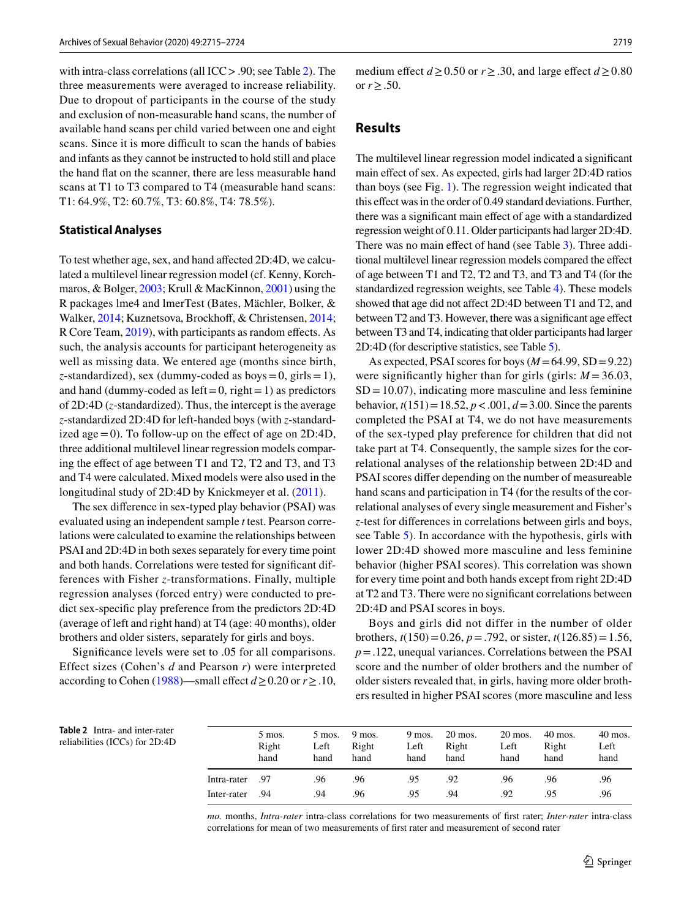with intra-class correlations (all ICC > .90; see Table [2\)](#page-4-0). The three measurements were averaged to increase reliability. Due to dropout of participants in the course of the study and exclusion of non-measurable hand scans, the number of available hand scans per child varied between one and eight scans. Since it is more difficult to scan the hands of babies and infants as they cannot be instructed to hold still and place the hand fat on the scanner, there are less measurable hand scans at T1 to T3 compared to T4 (measurable hand scans: T1: 64.9%, T2: 60.7%, T3: 60.8%, T4: 78.5%).

#### **Statistical Analyses**

To test whether age, sex, and hand afected 2D:4D, we calculated a multilevel linear regression model (cf. Kenny, Korchmaros, & Bolger, [2003;](#page-8-30) Krull & MacKinnon, [2001](#page-8-31)) using the R packages lme4 and lmerTest (Bates, Mächler, Bolker, & Walker, [2014](#page-8-33); Kuznetsova, Brockhoff, & Christensen, 2014; R Core Team, [2019\)](#page-9-25), with participants as random efects. As such, the analysis accounts for participant heterogeneity as well as missing data. We entered age (months since birth, *z*-standardized), sex (dummy-coded as boys = 0, girls = 1), and hand (dummy-coded as  $left=0$ , right=1) as predictors of 2D:4D (*z*-standardized). Thus, the intercept is the average *z*-standardized 2D:4D for left-handed boys (with *z*-standardized age  $=0$ ). To follow-up on the effect of age on 2D:4D, three additional multilevel linear regression models comparing the efect of age between T1 and T2, T2 and T3, and T3 and T4 were calculated. Mixed models were also used in the longitudinal study of 2D:4D by Knickmeyer et al. ([2011\)](#page-8-21).

The sex diference in sex-typed play behavior (PSAI) was evaluated using an independent sample *t* test. Pearson correlations were calculated to examine the relationships between PSAI and 2D:4D in both sexes separately for every time point and both hands. Correlations were tested for signifcant differences with Fisher *z*-transformations. Finally, multiple regression analyses (forced entry) were conducted to predict sex-specifc play preference from the predictors 2D:4D (average of left and right hand) at T4 (age: 40 months), older brothers and older sisters, separately for girls and boys.

Signifcance levels were set to .05 for all comparisons. Effect sizes (Cohen's *d* and Pearson *r*) were interpreted according to Cohen [\(1988](#page-8-34))—small effect  $d \ge 0.20$  or  $r \ge .10$ ,

<span id="page-4-0"></span>**Table 2** Intra- and inter-rater reliabilities (ICCs) for 2D:4D medium effect  $d \ge 0.50$  or  $r \ge .30$ , and large effect  $d \ge 0.80$ or  $r \geq .50$ .

### **Results**

The multilevel linear regression model indicated a signifcant main efect of sex. As expected, girls had larger 2D:4D ratios than boys (see Fig. [1](#page-5-0)). The regression weight indicated that this effect was in the order of 0.49 standard deviations. Further, there was a signifcant main efect of age with a standardized regression weight of 0.11. Older participants had larger 2D:4D. There was no main efect of hand (see Table [3\)](#page-5-1). Three additional multilevel linear regression models compared the efect of age between T1 and T2, T2 and T3, and T3 and T4 (for the standardized regression weights, see Table [4\)](#page-5-2). These models showed that age did not affect 2D:4D between T1 and T2, and between T2 and T3. However, there was a signifcant age efect between T3 and T4, indicating that older participants had larger 2D:4D (for descriptive statistics, see Table [5](#page-6-0)).

As expected, PSAI scores for boys (*M*=64.99, SD=9.22) were significantly higher than for girls (girls:  $M = 36.03$ ,  $SD = 10.07$ , indicating more masculine and less feminine behavior,  $t(151) = 18.52$ ,  $p < .001$ ,  $d = 3.00$ . Since the parents completed the PSAI at T4, we do not have measurements of the sex-typed play preference for children that did not take part at T4. Consequently, the sample sizes for the correlational analyses of the relationship between 2D:4D and PSAI scores difer depending on the number of measureable hand scans and participation in T4 (for the results of the correlational analyses of every single measurement and Fisher's *z*-test for diferences in correlations between girls and boys, see Table [5](#page-6-0)). In accordance with the hypothesis, girls with lower 2D:4D showed more masculine and less feminine behavior (higher PSAI scores). This correlation was shown for every time point and both hands except from right 2D:4D at T2 and T3. There were no signifcant correlations between 2D:4D and PSAI scores in boys.

Boys and girls did not differ in the number of older brothers,  $t(150) = 0.26$ ,  $p = .792$ , or sister,  $t(126.85) = 1.56$ , *p*=.122, unequal variances. Correlations between the PSAI score and the number of older brothers and the number of older sisters revealed that, in girls, having more older brothers resulted in higher PSAI scores (more masculine and less

|             | $5 \text{ mos.}$<br>Right<br>hand | $5 \,\mathrm{mos}$ .<br>Left<br>hand | $9$ mos.<br>Right<br>hand | $9$ mos.<br>Left<br>hand | $20$ mos.<br>Right<br>hand | 20 mos.<br>Left<br>hand | $40$ mos.<br>Right<br>hand | $40$ mos.<br>Left<br>hand |
|-------------|-----------------------------------|--------------------------------------|---------------------------|--------------------------|----------------------------|-------------------------|----------------------------|---------------------------|
| Intra-rater | .97                               | .96                                  | .96                       | .95                      | .92                        | .96                     | .96                        | .96                       |
| Inter-rater | .94                               | .94                                  | .96                       | .95                      | .94                        | .92                     | .95                        | .96                       |

*mo.* months, *Intra-rater* intra-class correlations for two measurements of frst rater; *Inter-rater* intra-class correlations for mean of two measurements of frst rater and measurement of second rater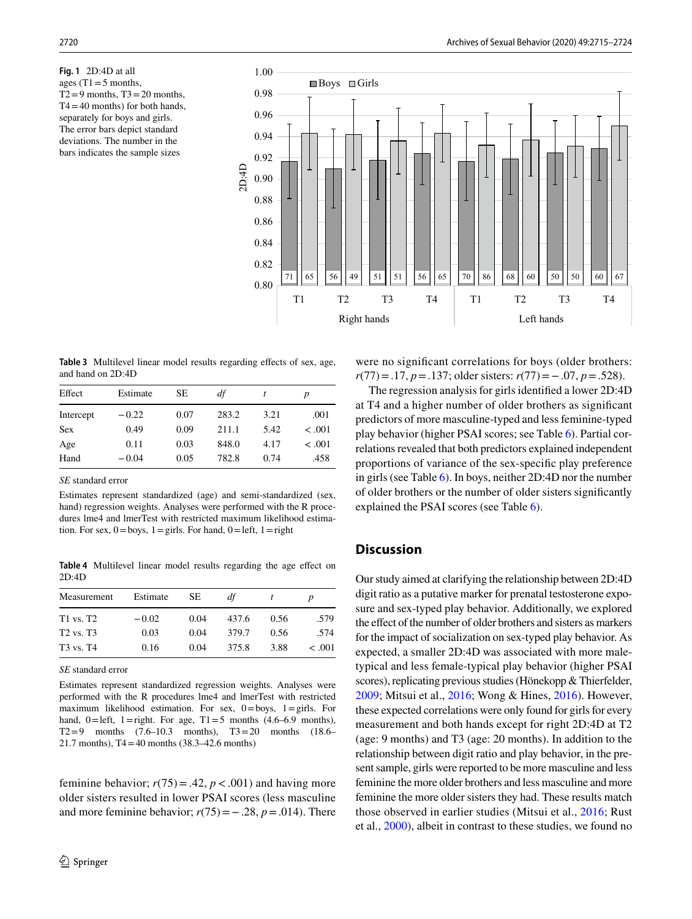<span id="page-5-0"></span>



<span id="page-5-1"></span>Table 3 Multilevel linear model results regarding effects of sex, age, and hand on 2D:4D

| Effect     | Estimate | SЕ   | df    |      | p       |
|------------|----------|------|-------|------|---------|
| Intercept  | $-0.22$  | 0.07 | 283.2 | 3.21 | .001    |
| <b>Sex</b> | 0.49     | 0.09 | 211.1 | 5.42 | < 0.001 |
| Age        | 0.11     | 0.03 | 848.0 | 4.17 | < 0.001 |
| Hand       | $-0.04$  | 0.05 | 782.8 | 0.74 | .458    |

*SE* standard error

Estimates represent standardized (age) and semi-standardized (sex, hand) regression weights. Analyses were performed with the R procedures lme4 and lmerTest with restricted maximum likelihood estimation. For sex,  $0 = \text{boys}, 1 = \text{girls}$ . For hand,  $0 = \text{left}, 1 = \text{right}$ 

<span id="page-5-2"></span>**Table 4** Multilevel linear model results regarding the age efect on  $2D·4D$ 

| Measurement                       | Estimate | SE.  | df    |      |         |
|-----------------------------------|----------|------|-------|------|---------|
| $T1$ vs. $T2$                     | $-0.02$  | 0.04 | 437.6 | 0.56 | .579    |
| T <sub>2</sub> vs. T <sub>3</sub> | 0.03     | 0.04 | 379.7 | 0.56 | .574    |
| T3 vs. T4                         | 0.16     | 0.04 | 375.8 | 3.88 | < 0.001 |
|                                   |          |      |       |      |         |

*SE* standard error

Estimates represent standardized regression weights. Analyses were performed with the R procedures lme4 and lmerTest with restricted maximum likelihood estimation. For sex, 0=boys, 1=girls. For hand,  $0=$  left,  $1=$  right. For age,  $T1=5$  months (4.6–6.9 months), T2=9 months  $(7.6-10.3 \text{ months})$ , T3=20 months  $(18.6-$ 21.7 months), T4=40 months (38.3–42.6 months)

feminine behavior;  $r(75) = .42$ ,  $p < .001$ ) and having more older sisters resulted in lower PSAI scores (less masculine and more feminine behavior;  $r(75) = -.28$ ,  $p = .014$ ). There were no signifcant correlations for boys (older brothers: *r*(77)=.17, *p*=.137; older sisters: *r*(77)=−.07, *p*=.528).

The regression analysis for girls identifed a lower 2D:4D at T4 and a higher number of older brothers as signifcant predictors of more masculine-typed and less feminine-typed play behavior (higher PSAI scores; see Table [6\)](#page-6-1). Partial correlations revealed that both predictors explained independent proportions of variance of the sex-specifc play preference in girls (see Table [6](#page-6-1)). In boys, neither 2D:4D nor the number of older brothers or the number of older sisters signifcantly explained the PSAI scores (see Table [6\)](#page-6-1).

#### **Discussion**

Our study aimed at clarifying the relationship between 2D:4D digit ratio as a putative marker for prenatal testosterone exposure and sex-typed play behavior. Additionally, we explored the efect of the number of older brothers and sisters as markers for the impact of socialization on sex-typed play behavior. As expected, a smaller 2D:4D was associated with more maletypical and less female-typical play behavior (higher PSAI scores), replicating previous studies (Hönekopp & Thierfelder, [2009](#page-8-12); Mitsui et al., [2016;](#page-9-8) Wong & Hines, [2016](#page-9-9)). However, these expected correlations were only found for girls for every measurement and both hands except for right 2D:4D at T2 (age: 9 months) and T3 (age: 20 months). In addition to the relationship between digit ratio and play behavior, in the present sample, girls were reported to be more masculine and less feminine the more older brothers and less masculine and more feminine the more older sisters they had. These results match those observed in earlier studies (Mitsui et al., [2016](#page-9-8); Rust et al., [2000\)](#page-9-23), albeit in contrast to these studies, we found no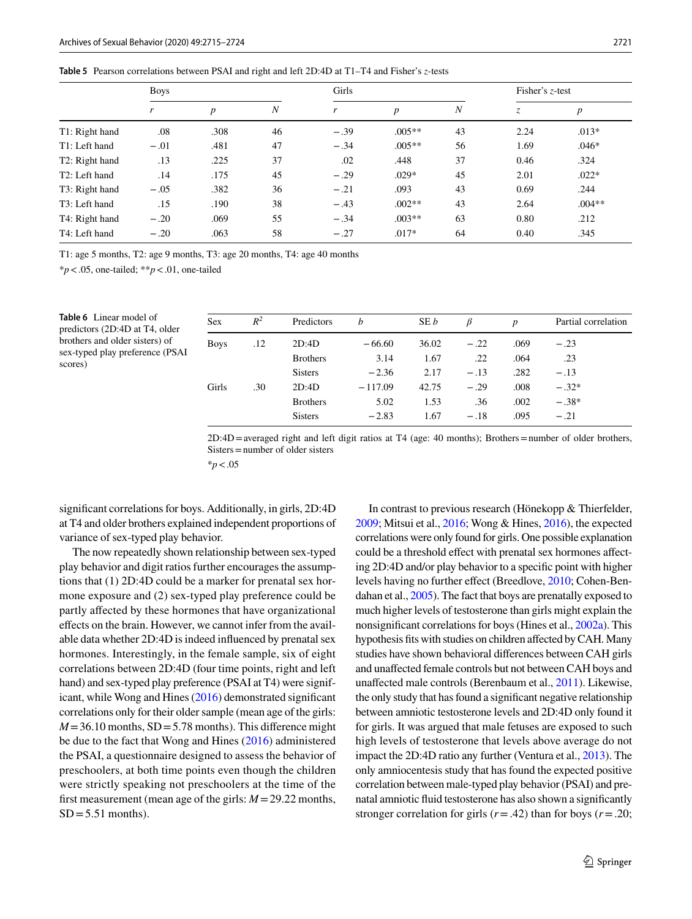#### <span id="page-6-0"></span>**Table 5** Pearson correlations between PSAI and right and left 2D:4D at T1–T4 and Fisher's *z*-tests

|                             | <b>Boys</b> |                  |                  | Girls  |                  |                  | Fisher's z-test |          |
|-----------------------------|-------------|------------------|------------------|--------|------------------|------------------|-----------------|----------|
|                             | r           | $\boldsymbol{p}$ | $\boldsymbol{N}$ | r      | $\boldsymbol{p}$ | $\boldsymbol{N}$ | Z.              | p        |
| T1: Right hand              | .08         | .308             | 46               | $-.39$ | $.005**$         | 43               | 2.24            | $.013*$  |
| T1: Left hand               | $-.01$      | .481             | 47               | $-.34$ | $.005**$         | 56               | 1.69            | $.046*$  |
| T <sub>2</sub> : Right hand | .13         | .225             | 37               | .02    | .448             | 37               | 0.46            | .324     |
| T <sub>2</sub> : Left hand  | .14         | .175             | 45               | $-.29$ | $.029*$          | 45               | 2.01            | $.022*$  |
| T3: Right hand              | $-.05$      | .382             | 36               | $-.21$ | .093             | 43               | 0.69            | .244     |
| T3: Left hand               | .15         | .190             | 38               | $-.43$ | $.002**$         | 43               | 2.64            | $.004**$ |
| T4: Right hand              | $-.20$      | .069             | 55               | $-.34$ | $.003**$         | 63               | 0.80            | .212     |
| T4: Left hand               | $-.20$      | .063             | 58               | $-.27$ | $.017*$          | 64               | 0.40            | .345     |

T1: age 5 months, T2: age 9 months, T3: age 20 months, T4: age 40 months

\**p*<.05, one-tailed; \*\**p*<.01, one-tailed

<span id="page-6-1"></span>**Table 6** Linear model of predictors (2D:4D at T4, older brothers and older sisters) of sex-typed play preference (PSAI scores)

| <b>Sex</b>  | $R^2$ | Predictors      | b         | SE b  |        | $\boldsymbol{p}$ | Partial correlation |
|-------------|-------|-----------------|-----------|-------|--------|------------------|---------------------|
| <b>Boys</b> | .12   | 2D:4D           | $-66.60$  | 36.02 | $-.22$ | .069             | $-.23$              |
|             |       | <b>Brothers</b> | 3.14      | 1.67  | .22    | .064             | .23                 |
|             |       | <b>Sisters</b>  | $-2.36$   | 2.17  | $-.13$ | .282             | $-.13$              |
| Girls       | .30   | 2D:4D           | $-117.09$ | 42.75 | $-.29$ | .008             | $-.32*$             |
|             |       | <b>Brothers</b> | 5.02      | 1.53  | .36    | .002             | $-.38*$             |
|             |       | <b>Sisters</b>  | $-2.83$   | 1.67  | $-.18$ | .095             | $-.21$              |

2D:4D=averaged right and left digit ratios at T4 (age: 40 months); Brothers=number of older brothers, Sisters=number of older sisters

\**p*<.05

signifcant correlations for boys. Additionally, in girls, 2D:4D at T4 and older brothers explained independent proportions of variance of sex-typed play behavior.

The now repeatedly shown relationship between sex-typed play behavior and digit ratios further encourages the assumptions that (1) 2D:4D could be a marker for prenatal sex hormone exposure and (2) sex-typed play preference could be partly afected by these hormones that have organizational efects on the brain. However, we cannot infer from the available data whether 2D:4D is indeed infuenced by prenatal sex hormones. Interestingly, in the female sample, six of eight correlations between 2D:4D (four time points, right and left hand) and sex-typed play preference (PSAI at T4) were significant, while Wong and Hines [\(2016\)](#page-9-9) demonstrated signifcant correlations only for their older sample (mean age of the girls:  $M = 36.10$  months,  $SD = 5.78$  months). This difference might be due to the fact that Wong and Hines [\(2016](#page-9-9)) administered the PSAI, a questionnaire designed to assess the behavior of preschoolers, at both time points even though the children were strictly speaking not preschoolers at the time of the frst measurement (mean age of the girls: *M*=29.22 months,  $SD = 5.51$  months).

In contrast to previous research (Hönekopp & Thierfelder, [2009;](#page-8-12) Mitsui et al., [2016;](#page-9-8) Wong & Hines, [2016\)](#page-9-9), the expected correlations were only found for girls. One possible explanation could be a threshold effect with prenatal sex hormones affecting 2D:4D and/or play behavior to a specifc point with higher levels having no further effect (Breedlove, [2010](#page-8-35); Cohen-Bendahan et al., [2005\)](#page-8-9). The fact that boys are prenatally exposed to much higher levels of testosterone than girls might explain the nonsignifcant correlations for boys (Hines et al., [2002a](#page-8-36)). This hypothesis fts with studies on children afected by CAH. Many studies have shown behavioral diferences between CAH girls and unafected female controls but not between CAH boys and unafected male controls (Berenbaum et al., [2011](#page-8-23)). Likewise, the only study that has found a signifcant negative relationship between amniotic testosterone levels and 2D:4D only found it for girls. It was argued that male fetuses are exposed to such high levels of testosterone that levels above average do not impact the 2D:4D ratio any further (Ventura et al., [2013](#page-9-15)). The only amniocentesis study that has found the expected positive correlation between male-typed play behavior (PSAI) and prenatal amniotic fuid testosterone has also shown a signifcantly stronger correlation for girls  $(r = .42)$  than for boys  $(r = .20;$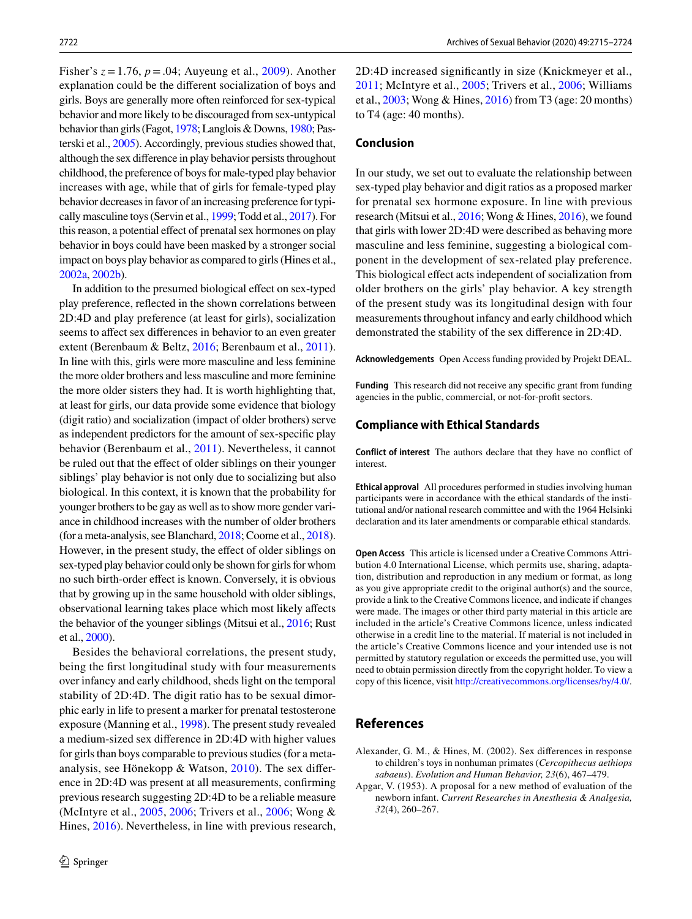Fisher's *z*=1.76, *p*=.04; Auyeung et al., [2009](#page-8-10)). Another explanation could be the diferent socialization of boys and girls. Boys are generally more often reinforced for sex-typical behavior and more likely to be discouraged from sex-untypical behavior than girls (Fagot, [1978;](#page-8-37) Langlois & Downs, [1980](#page-9-26); Pasterski et al., [2005\)](#page-9-6). Accordingly, previous studies showed that, although the sex diference in play behavior persists throughout childhood, the preference of boys for male-typed play behavior increases with age, while that of girls for female-typed play behavior decreases in favor of an increasing preference for typically masculine toys (Servin et al., [1999;](#page-9-0) Todd et al., [2017](#page-9-1)). For this reason, a potential effect of prenatal sex hormones on play behavior in boys could have been masked by a stronger social impact on boys play behavior as compared to girls (Hines et al., [2002a,](#page-8-36) [2002b\)](#page-8-24).

In addition to the presumed biological efect on sex-typed play preference, refected in the shown correlations between 2D:4D and play preference (at least for girls), socialization seems to affect sex differences in behavior to an even greater extent (Berenbaum & Beltz, [2016;](#page-8-4) Berenbaum et al., [2011](#page-8-23)). In line with this, girls were more masculine and less feminine the more older brothers and less masculine and more feminine the more older sisters they had. It is worth highlighting that, at least for girls, our data provide some evidence that biology (digit ratio) and socialization (impact of older brothers) serve as independent predictors for the amount of sex-specifc play behavior (Berenbaum et al., [2011](#page-8-23)). Nevertheless, it cannot be ruled out that the efect of older siblings on their younger siblings' play behavior is not only due to socializing but also biological. In this context, it is known that the probability for younger brothers to be gay as well as to show more gender variance in childhood increases with the number of older brothers (for a meta-analysis, see Blanchard, [2018;](#page-8-25) Coome et al., [2018](#page-8-27)). However, in the present study, the effect of older siblings on sex-typed play behavior could only be shown for girls for whom no such birth-order efect is known. Conversely, it is obvious that by growing up in the same household with older siblings, observational learning takes place which most likely afects the behavior of the younger siblings (Mitsui et al., [2016](#page-9-8); Rust et al., [2000](#page-9-23)).

Besides the behavioral correlations, the present study, being the frst longitudinal study with four measurements over infancy and early childhood, sheds light on the temporal stability of 2D:4D. The digit ratio has to be sexual dimorphic early in life to present a marker for prenatal testosterone exposure (Manning et al., [1998\)](#page-9-10). The present study revealed a medium-sized sex diference in 2D:4D with higher values for girls than boys comparable to previous studies (for a metaanalysis, see Hönekopp & Watson, [2010](#page-8-14)). The sex diference in 2D:4D was present at all measurements, confrming previous research suggesting 2D:4D to be a reliable measure (McIntyre et al., [2005,](#page-9-21) [2006](#page-9-20); Trivers et al., [2006](#page-9-22); Wong & Hines, [2016](#page-9-9)). Nevertheless, in line with previous research,

2D:4D increased signifcantly in size (Knickmeyer et al., [2011;](#page-8-21) McIntyre et al., [2005](#page-9-21); Trivers et al., [2006](#page-9-22); Williams et al., [2003;](#page-9-19) Wong & Hines, [2016\)](#page-9-9) from T3 (age: 20 months) to T4 (age: 40 months).

#### **Conclusion**

In our study, we set out to evaluate the relationship between sex-typed play behavior and digit ratios as a proposed marker for prenatal sex hormone exposure. In line with previous research (Mitsui et al., [2016](#page-9-8); Wong & Hines, [2016\)](#page-9-9), we found that girls with lower 2D:4D were described as behaving more masculine and less feminine, suggesting a biological component in the development of sex-related play preference. This biological efect acts independent of socialization from older brothers on the girls' play behavior. A key strength of the present study was its longitudinal design with four measurements throughout infancy and early childhood which demonstrated the stability of the sex diference in 2D:4D.

**Acknowledgements** Open Access funding provided by Projekt DEAL.

**Funding** This research did not receive any specifc grant from funding agencies in the public, commercial, or not-for-proft sectors.

#### **Compliance with Ethical Standards**

**Conflict of interest** The authors declare that they have no confict of interest.

**Ethical approval** All procedures performed in studies involving human participants were in accordance with the ethical standards of the institutional and/or national research committee and with the 1964 Helsinki declaration and its later amendments or comparable ethical standards.

**Open Access** This article is licensed under a Creative Commons Attribution 4.0 International License, which permits use, sharing, adaptation, distribution and reproduction in any medium or format, as long as you give appropriate credit to the original author(s) and the source, provide a link to the Creative Commons licence, and indicate if changes were made. The images or other third party material in this article are included in the article's Creative Commons licence, unless indicated otherwise in a credit line to the material. If material is not included in the article's Creative Commons licence and your intended use is not permitted by statutory regulation or exceeds the permitted use, you will need to obtain permission directly from the copyright holder. To view a copy of this licence, visit [http://creativecommons.org/licenses/by/4.0/.](http://creativecommons.org/licenses/by/4.0/)

## **References**

- <span id="page-7-0"></span>Alexander, G. M., & Hines, M. (2002). Sex diferences in response to children's toys in nonhuman primates (*Cercopithecus aethiops sabaeus*). *Evolution and Human Behavior, 23*(6), 467–479.
- <span id="page-7-1"></span>Apgar, V. (1953). A proposal for a new method of evaluation of the newborn infant. *Current Researches in Anesthesia & Analgesia, 32*(4), 260–267.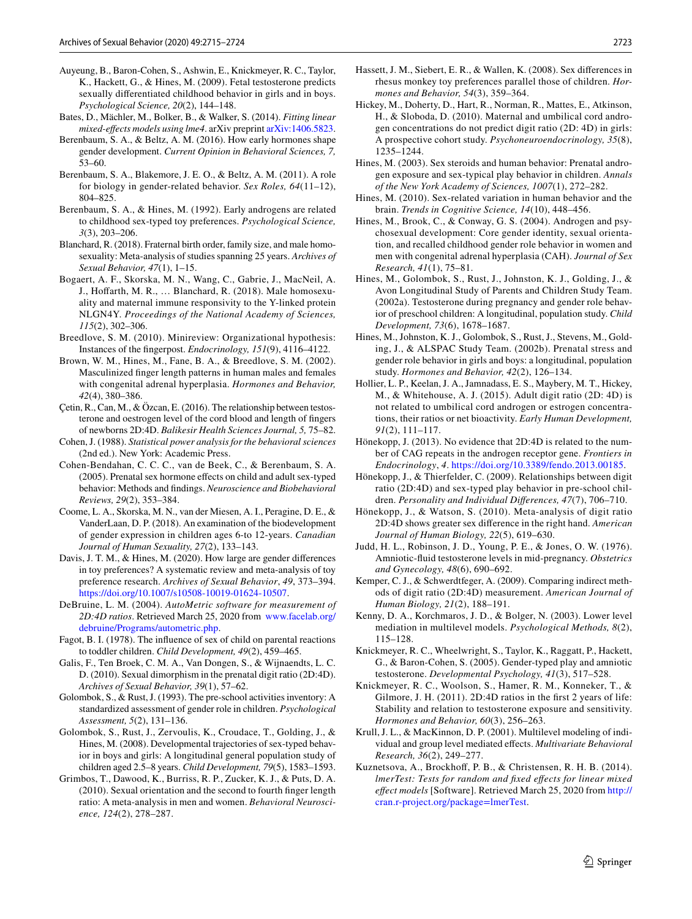- <span id="page-8-10"></span>Auyeung, B., Baron-Cohen, S., Ashwin, E., Knickmeyer, R. C., Taylor, K., Hackett, G., & Hines, M. (2009). Fetal testosterone predicts sexually diferentiated childhood behavior in girls and in boys. *Psychological Science, 20*(2), 144–148.
- <span id="page-8-32"></span>Bates, D., Mächler, M., Bolker, B., & Walker, S. (2014). *Fitting linear mixed-efects models using lme4*. arXiv preprint [arXiv:1406.5823.](http://arxiv.org/abs/1406.5823)
- <span id="page-8-4"></span>Berenbaum, S. A., & Beltz, A. M. (2016). How early hormones shape gender development. *Current Opinion in Behavioral Sciences, 7,* 53–60.
- <span id="page-8-23"></span>Berenbaum, S. A., Blakemore, J. E. O., & Beltz, A. M. (2011). A role for biology in gender-related behavior. *Sex Roles, 64*(11–12), 804–825.
- <span id="page-8-5"></span>Berenbaum, S. A., & Hines, M. (1992). Early androgens are related to childhood sex-typed toy preferences. *Psychological Science, 3*(3), 203–206.
- <span id="page-8-25"></span>Blanchard, R. (2018). Fraternal birth order, family size, and male homosexuality: Meta-analysis of studies spanning 25 years. *Archives of Sexual Behavior, 47*(1), 1–15.
- <span id="page-8-26"></span>Bogaert, A. F., Skorska, M. N., Wang, C., Gabrie, J., MacNeil, A. J., Hoffarth, M. R., ... Blanchard, R. (2018). Male homosexuality and maternal immune responsivity to the Y-linked protein NLGN4Y. *Proceedings of the National Academy of Sciences, 115*(2), 302–306.
- <span id="page-8-35"></span>Breedlove, S. M. (2010). Minireview: Organizational hypothesis: Instances of the fngerpost. *Endocrinology, 151*(9), 4116–4122.
- <span id="page-8-16"></span>Brown, W. M., Hines, M., Fane, B. A., & Breedlove, S. M. (2002). Masculinized fnger length patterns in human males and females with congenital adrenal hyperplasia. *Hormones and Behavior, 42*(4), 380–386.
- <span id="page-8-17"></span>Cetin, R., Can, M., & Özcan, E. (2016). The relationship between testosterone and oestrogen level of the cord blood and length of fngers of newborns 2D:4D. *Balikesir Health Sciences Journal, 5,* 75–82.
- <span id="page-8-34"></span>Cohen, J. (1988). *Statistical power analysis for the behavioral sciences* (2nd ed.). New York: Academic Press.
- <span id="page-8-9"></span>Cohen-Bendahan, C. C. C., van de Beek, C., & Berenbaum, S. A. (2005). Prenatal sex hormone efects on child and adult sex-typed behavior: Methods and fndings. *Neuroscience and Biobehavioral Reviews, 29*(2), 353–384.
- <span id="page-8-27"></span>Coome, L. A., Skorska, M. N., van der Miesen, A. I., Peragine, D. E., & VanderLaan, D. P. (2018). An examination of the biodevelopment of gender expression in children ages 6-to 12-years. *Canadian Journal of Human Sexuality, 27*(2), 133–143.
- <span id="page-8-1"></span>Davis, J. T. M., & Hines, M. (2020). How large are gender diferences in toy preferences? A systematic review and meta-analysis of toy preference research. *Archives of Sexual Behavior*, *49*, 373–394. <https://doi.org/10.1007/s10508-10019-01624-10507>.
- <span id="page-8-29"></span>DeBruine, L. M. (2004). *AutoMetric software for measurement of 2D:4D ratios*. Retrieved March 25, 2020 from [www.facelab.org/](http://www.facelab.org/debruine/Programs/autometric.php) [debruine/Programs/autometric.php.](http://www.facelab.org/debruine/Programs/autometric.php)
- <span id="page-8-37"></span>Fagot, B. I. (1978). The infuence of sex of child on parental reactions to toddler children. *Child Development, 49*(2), 459–465.
- <span id="page-8-15"></span>Galis, F., Ten Broek, C. M. A., Van Dongen, S., & Wijnaendts, L. C. D. (2010). Sexual dimorphism in the prenatal digit ratio (2D:4D). *Archives of Sexual Behavior, 39*(1), 57–62.
- <span id="page-8-22"></span>Golombok, S., & Rust, J. (1993). The pre-school activities inventory: A standardized assessment of gender role in children. *Psychological Assessment, 5*(2), 131–136.
- <span id="page-8-0"></span>Golombok, S., Rust, J., Zervoulis, K., Croudace, T., Golding, J., & Hines, M. (2008). Developmental trajectories of sex-typed behavior in boys and girls: A longitudinal general population study of children aged 2.5–8 years. *Child Development, 79*(5), 1583–1593.
- <span id="page-8-13"></span>Grimbos, T., Dawood, K., Burriss, R. P., Zucker, K. J., & Puts, D. A. (2010). Sexual orientation and the second to fourth fnger length ratio: A meta-analysis in men and women. *Behavioral Neuroscience, 124*(2), 278–287.
- <span id="page-8-3"></span>Hassett, J. M., Siebert, E. R., & Wallen, K. (2008). Sex diferences in rhesus monkey toy preferences parallel those of children. *Hormones and Behavior, 54*(3), 359–364.
- <span id="page-8-18"></span>Hickey, M., Doherty, D., Hart, R., Norman, R., Mattes, E., Atkinson, H., & Sloboda, D. (2010). Maternal and umbilical cord androgen concentrations do not predict digit ratio (2D: 4D) in girls: A prospective cohort study. *Psychoneuroendocrinology, 35*(8), 1235–1244.
- <span id="page-8-6"></span>Hines, M. (2003). Sex steroids and human behavior: Prenatal androgen exposure and sex-typical play behavior in children. *Annals of the New York Academy of Sciences, 1007*(1), 272–282.
- <span id="page-8-2"></span>Hines, M. (2010). Sex-related variation in human behavior and the brain. *Trends in Cognitive Science, 14*(10), 448–456.
- <span id="page-8-7"></span>Hines, M., Brook, C., & Conway, G. S. (2004). Androgen and psychosexual development: Core gender identity, sexual orientation, and recalled childhood gender role behavior in women and men with congenital adrenal hyperplasia (CAH). *Journal of Sex Research, 41*(1), 75–81.
- <span id="page-8-36"></span>Hines, M., Golombok, S., Rust, J., Johnston, K. J., Golding, J., & Avon Longitudinal Study of Parents and Children Study Team. (2002a). Testosterone during pregnancy and gender role behavior of preschool children: A longitudinal, population study. *Child Development, 73*(6), 1678–1687.
- <span id="page-8-24"></span>Hines, M., Johnston, K. J., Golombok, S., Rust, J., Stevens, M., Golding, J., & ALSPAC Study Team. (2002b). Prenatal stress and gender role behavior in girls and boys: a longitudinal, population study. *Hormones and Behavior, 42*(2), 126–134.
- <span id="page-8-19"></span>Hollier, L. P., Keelan, J. A., Jamnadass, E. S., Maybery, M. T., Hickey, M., & Whitehouse, A. J. (2015). Adult digit ratio (2D: 4D) is not related to umbilical cord androgen or estrogen concentrations, their ratios or net bioactivity. *Early Human Development, 91*(2), 111–117.
- <span id="page-8-20"></span>Hönekopp, J. (2013). No evidence that 2D:4D is related to the number of CAG repeats in the androgen receptor gene. *Frontiers in Endocrinology*, *4*. [https://doi.org/10.3389/fendo.2013.00185.](https://doi.org/10.3389/fendo.2013.00185)
- <span id="page-8-12"></span>Hönekopp, J., & Thierfelder, C. (2009). Relationships between digit ratio (2D:4D) and sex-typed play behavior in pre-school children. *Personality and Individual Diferences, 47*(7), 706–710.
- <span id="page-8-14"></span>Hönekopp, J., & Watson, S. (2010). Meta-analysis of digit ratio 2D:4D shows greater sex diference in the right hand. *American Journal of Human Biology, 22*(5), 619–630.
- <span id="page-8-8"></span>Judd, H. L., Robinson, J. D., Young, P. E., & Jones, O. W. (1976). Amniotic-fuid testosterone levels in mid-pregnancy. *Obstetrics and Gynecology, 48*(6), 690–692.
- <span id="page-8-28"></span>Kemper, C. J., & Schwerdtfeger, A. (2009). Comparing indirect methods of digit ratio (2D:4D) measurement. *American Journal of Human Biology, 21*(2), 188–191.
- <span id="page-8-30"></span>Kenny, D. A., Korchmaros, J. D., & Bolger, N. (2003). Lower level mediation in multilevel models. *Psychological Methods, 8*(2), 115–128.
- <span id="page-8-11"></span>Knickmeyer, R. C., Wheelwright, S., Taylor, K., Raggatt, P., Hackett, G., & Baron-Cohen, S. (2005). Gender-typed play and amniotic testosterone. *Developmental Psychology, 41*(3), 517–528.
- <span id="page-8-21"></span>Knickmeyer, R. C., Woolson, S., Hamer, R. M., Konneker, T., & Gilmore, J. H. (2011). 2D:4D ratios in the frst 2 years of life: Stability and relation to testosterone exposure and sensitivity. *Hormones and Behavior, 60*(3), 256–263.
- <span id="page-8-31"></span>Krull, J. L., & MacKinnon, D. P. (2001). Multilevel modeling of individual and group level mediated efects. *Multivariate Behavioral Research, 36*(2), 249–277.
- <span id="page-8-33"></span>Kuznetsova, A., Brockhof, P. B., & Christensen, R. H. B. (2014). *lmerTest: Tests for random and fxed efects for linear mixed efect models* [Software]. Retrieved March 25, 2020 from [http://](http://cran.r-project.org/package%3dlmerTest) [cran.r-project.org/package=lmerTest](http://cran.r-project.org/package%3dlmerTest).